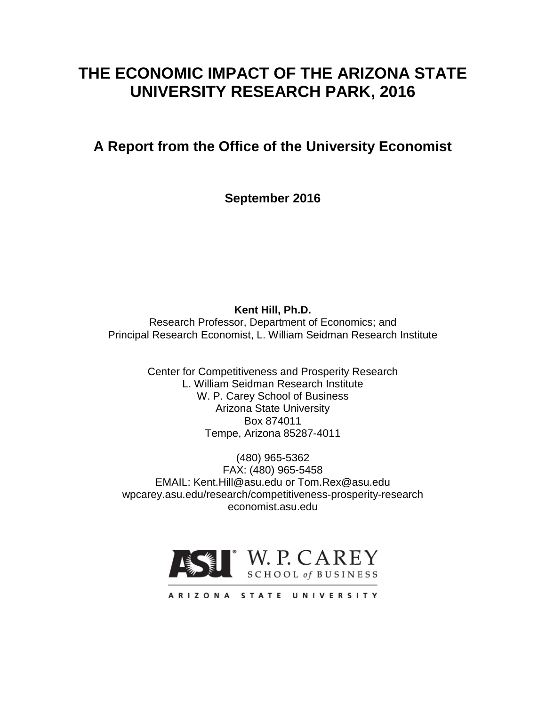# **THE ECONOMIC IMPACT OF THE ARIZONA STATE UNIVERSITY RESEARCH PARK, 2016**

## **A Report from the Office of the University Economist**

**September 2016**

**Kent Hill, Ph.D.**

Research Professor, Department of Economics; and Principal Research Economist, L. William Seidman Research Institute

> Center for Competitiveness and Prosperity Research L. William Seidman Research Institute W. P. Carey School of Business Arizona State University Box 874011 Tempe, Arizona 85287-4011

(480) 965-5362 FAX: (480) 965-5458 EMAIL: Kent.Hill@asu.edu or Tom.Rex@asu.edu wpcarey.asu.edu/research/competitiveness-prosperity-research economist.asu.edu



ARIZONA STATE UNIVERSITY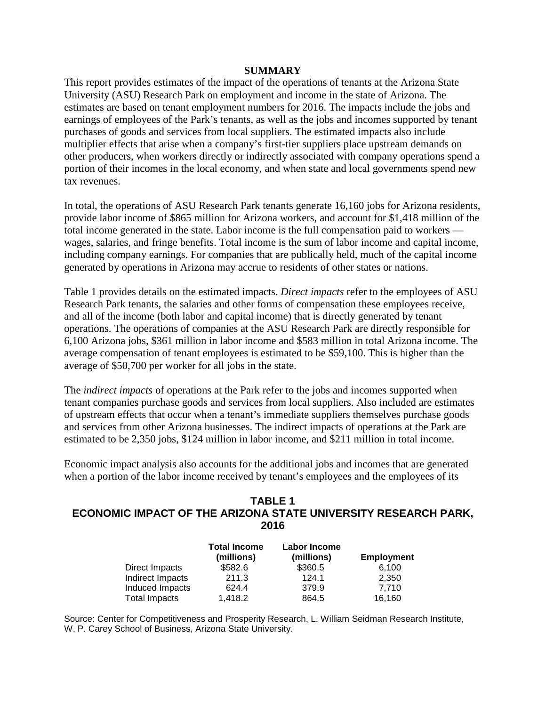#### **SUMMARY**

This report provides estimates of the impact of the operations of tenants at the Arizona State University (ASU) Research Park on employment and income in the state of Arizona. The estimates are based on tenant employment numbers for 2016. The impacts include the jobs and earnings of employees of the Park's tenants, as well as the jobs and incomes supported by tenant purchases of goods and services from local suppliers. The estimated impacts also include multiplier effects that arise when a company's first-tier suppliers place upstream demands on other producers, when workers directly or indirectly associated with company operations spend a portion of their incomes in the local economy, and when state and local governments spend new tax revenues.

In total, the operations of ASU Research Park tenants generate 16,160 jobs for Arizona residents, provide labor income of \$865 million for Arizona workers, and account for \$1,418 million of the total income generated in the state. Labor income is the full compensation paid to workers wages, salaries, and fringe benefits. Total income is the sum of labor income and capital income, including company earnings. For companies that are publically held, much of the capital income generated by operations in Arizona may accrue to residents of other states or nations.

Table 1 provides details on the estimated impacts. *Direct impacts* refer to the employees of ASU Research Park tenants, the salaries and other forms of compensation these employees receive, and all of the income (both labor and capital income) that is directly generated by tenant operations. The operations of companies at the ASU Research Park are directly responsible for 6,100 Arizona jobs, \$361 million in labor income and \$583 million in total Arizona income. The average compensation of tenant employees is estimated to be \$59,100. This is higher than the average of \$50,700 per worker for all jobs in the state.

The *indirect impacts* of operations at the Park refer to the jobs and incomes supported when tenant companies purchase goods and services from local suppliers. Also included are estimates of upstream effects that occur when a tenant's immediate suppliers themselves purchase goods and services from other Arizona businesses. The indirect impacts of operations at the Park are estimated to be 2,350 jobs, \$124 million in labor income, and \$211 million in total income.

Economic impact analysis also accounts for the additional jobs and incomes that are generated when a portion of the labor income received by tenant's employees and the employees of its

#### **TABLE 1 ECONOMIC IMPACT OF THE ARIZONA STATE UNIVERSITY RESEARCH PARK, 2016**

|                      | <b>Total Income</b><br>(millions) | <b>Labor Income</b><br>(millions) | <b>Employment</b> |
|----------------------|-----------------------------------|-----------------------------------|-------------------|
| Direct Impacts       | \$582.6                           | \$360.5                           | 6.100             |
| Indirect Impacts     | 211.3                             | 124.1                             | 2,350             |
| Induced Impacts      | 624.4                             | 379.9                             | 7.710             |
| <b>Total Impacts</b> | 1,418.2                           | 864.5                             | 16,160            |

Source: Center for Competitiveness and Prosperity Research, L. William Seidman Research Institute, W. P. Carey School of Business, Arizona State University.